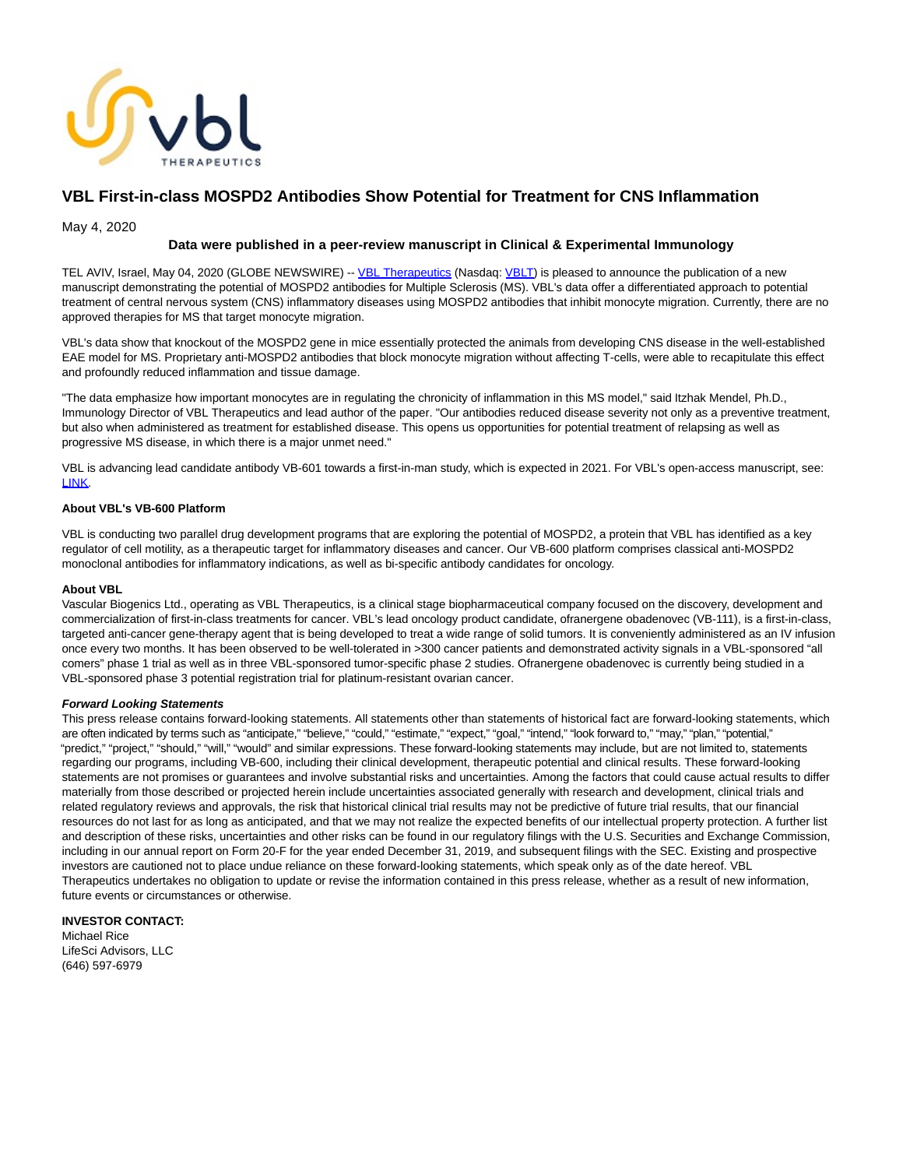

# **VBL First-in-class MOSPD2 Antibodies Show Potential for Treatment for CNS Inflammation**

May 4, 2020

## **Data were published in a peer-review manuscript in Clinical & Experimental Immunology**

TEL AVIV, Israel, May 04, 2020 (GLOBE NEWSWIRE) -- [VBL Therapeutics \(](https://www.globenewswire.com/Tracker?data=2XL3dFLfrTkbXZaK59C3AC_dvdFzqZLJfwhWkXJtVpL3JP2wVUX4E1NkBLR0TqHPrDJEmyvIpEF4C6uH2XVtrg==)Nasdaq: [VBLT\)](https://www.globenewswire.com/Tracker?data=tIPnTv3ov4Na-ob6u2Sy2ZCa5yxzYW_Zv75vrnxXF2TtizONKhM6Mw2yLPyqHh9sfuB-JT_NIL4FfnM-XGfePLYXmo7igi2wqK-e3ZE81joP6VrCmlru6nXFBkVRexRG) is pleased to announce the publication of a new manuscript demonstrating the potential of MOSPD2 antibodies for Multiple Sclerosis (MS). VBL's data offer a differentiated approach to potential treatment of central nervous system (CNS) inflammatory diseases using MOSPD2 antibodies that inhibit monocyte migration. Currently, there are no approved therapies for MS that target monocyte migration.

VBL's data show that knockout of the MOSPD2 gene in mice essentially protected the animals from developing CNS disease in the well-established EAE model for MS. Proprietary anti-MOSPD2 antibodies that block monocyte migration without affecting T-cells, were able to recapitulate this effect and profoundly reduced inflammation and tissue damage.

"The data emphasize how important monocytes are in regulating the chronicity of inflammation in this MS model," said Itzhak Mendel, Ph.D., Immunology Director of VBL Therapeutics and lead author of the paper. "Our antibodies reduced disease severity not only as a preventive treatment, but also when administered as treatment for established disease. This opens us opportunities for potential treatment of relapsing as well as progressive MS disease, in which there is a major unmet need."

VBL is advancing lead candidate antibody VB-601 towards a first-in-man study, which is expected in 2021. For VBL's open-access manuscript, see: [LINK.](https://www.globenewswire.com/Tracker?data=J9eMshvr6CNTq2RymqKpgsmnsuJsRqWns1bYdDVkMu03oS0xoYLeCNH0B6t4F_4pbfpsrsxubW9vRuUXAS1ZCMJFz7JW-X-lJG1xA0s1iizXno-UzsD91AqzgFRf-QVW)

## **About VBL's VB-600 Platform**

VBL is conducting two parallel drug development programs that are exploring the potential of MOSPD2, a protein that VBL has identified as a key regulator of cell motility, as a therapeutic target for inflammatory diseases and cancer. Our VB-600 platform comprises classical anti-MOSPD2 monoclonal antibodies for inflammatory indications, as well as bi-specific antibody candidates for oncology.

### **About VBL**

Vascular Biogenics Ltd., operating as VBL Therapeutics, is a clinical stage biopharmaceutical company focused on the discovery, development and commercialization of first-in-class treatments for cancer. VBL's lead oncology product candidate, ofranergene obadenovec (VB-111), is a first-in-class, targeted anti-cancer gene-therapy agent that is being developed to treat a wide range of solid tumors. It is conveniently administered as an IV infusion once every two months. It has been observed to be well-tolerated in >300 cancer patients and demonstrated activity signals in a VBL-sponsored "all comers" phase 1 trial as well as in three VBL-sponsored tumor-specific phase 2 studies. Ofranergene obadenovec is currently being studied in a VBL-sponsored phase 3 potential registration trial for platinum-resistant ovarian cancer.

#### **Forward Looking Statements**

This press release contains forward-looking statements. All statements other than statements of historical fact are forward-looking statements, which are often indicated by terms such as "anticipate," "believe," "could," "estimate," "expect," "goal," "intend," "look forward to," "may," "plan," "potential," "predict," "project," "should," "will," "would" and similar expressions. These forward-looking statements may include, but are not limited to, statements regarding our programs, including VB-600, including their clinical development, therapeutic potential and clinical results. These forward-looking statements are not promises or guarantees and involve substantial risks and uncertainties. Among the factors that could cause actual results to differ materially from those described or projected herein include uncertainties associated generally with research and development, clinical trials and related regulatory reviews and approvals, the risk that historical clinical trial results may not be predictive of future trial results, that our financial resources do not last for as long as anticipated, and that we may not realize the expected benefits of our intellectual property protection. A further list and description of these risks, uncertainties and other risks can be found in our regulatory filings with the U.S. Securities and Exchange Commission, including in our annual report on Form 20-F for the year ended December 31, 2019, and subsequent filings with the SEC. Existing and prospective investors are cautioned not to place undue reliance on these forward-looking statements, which speak only as of the date hereof. VBL Therapeutics undertakes no obligation to update or revise the information contained in this press release, whether as a result of new information, future events or circumstances or otherwise.

**INVESTOR CONTACT:** Michael Rice LifeSci Advisors, LLC (646) 597-6979